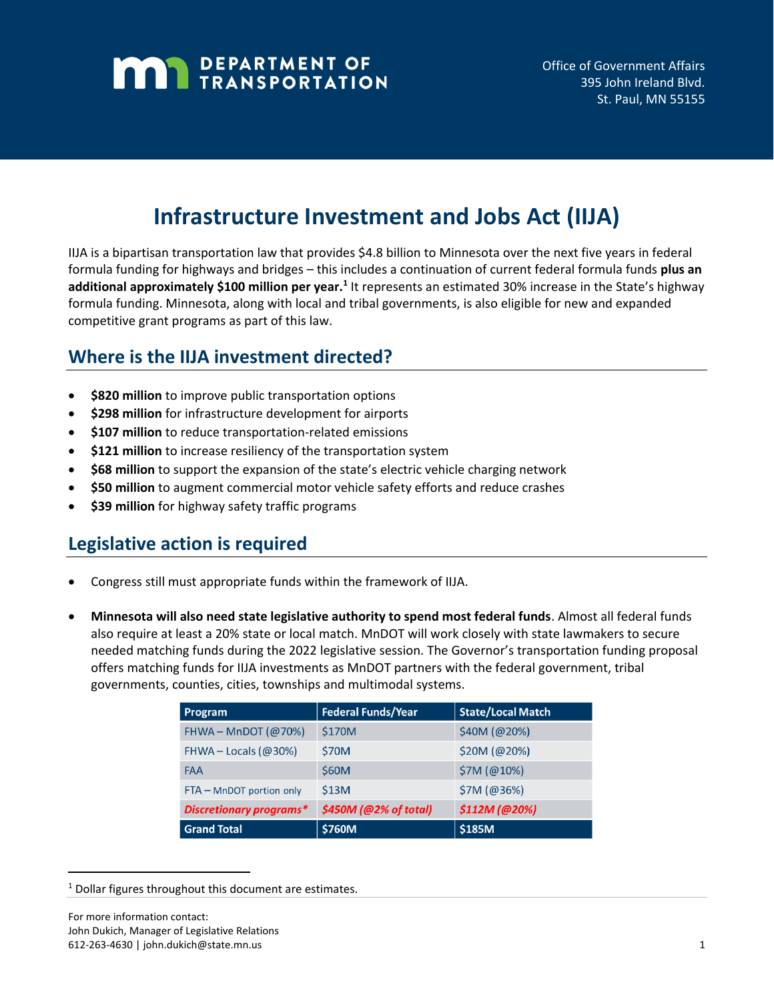# **MAN** DEPARTMENT OF

## **Infrastructure Investment and Jobs Act (IIJA)**

IIJA is a bipartisan transportation law that provides \$4.8 billion to Minnesota over the next five years in federal formula funding for highways and bridges – this includes a continuation of current federal formula funds **plus an**  additional approximately \$100 million per year.<sup>1</sup> It represents an estimated 30% increase in the State's highway formula funding. Minnesota, along with local and tribal governments, is also eligible for new and expanded competitive grant programs as part of this law.

## **Where is the IIJA investment directed?**

- **\$820 million** to improve public transportation options
- **\$298 million** for infrastructure development for airports
- **\$107 million** to reduce transportation-related emissions
- **\$121 million** to increase resiliency of the transportation system
- **\$68 million** to support the expansion of the state's electric vehicle charging network
- **\$50 million** to augment commercial motor vehicle safety efforts and reduce crashes
- **\$39 million** for highway safety traffic programs

### **Legislative action is required**

- Congress still must appropriate funds within the framework of IIJA.
- **Minnesota will also need state legislative authority to spend most federal funds**. Almost all federal funds also require at least a 20% state or local match. MnDOT will work closely with state lawmakers to secure needed matching funds during the 2022 legislative session. The Governor's transportation funding proposal offers matching funds for IIJA investments as MnDOT partners with the federal government, tribal governments, counties, cities, townships and multimodal systems.

| Program                        | <b>Federal Funds/Year</b> | <b>State/Local Match</b> |
|--------------------------------|---------------------------|--------------------------|
| FHWA - MnDOT $(Q70%)$          | \$170M                    | \$40M (@20%)             |
| FHWA - Locals ( $@30\%$ )      | <b>\$70M</b>              | \$20M (@20%)             |
| <b>FAA</b>                     | \$60M                     | \$7M (@10%)              |
| FTA - MnDOT portion only       | \$13M                     | \$7M (@36%)              |
| <b>Discretionary programs*</b> | \$450M (@2% of total)     | \$112M (@20%)            |
| <b>Grand Total</b>             | \$760M                    | \$185M                   |

<sup>&</sup>lt;sup>1</sup> Dollar figures throughout this document are estimates.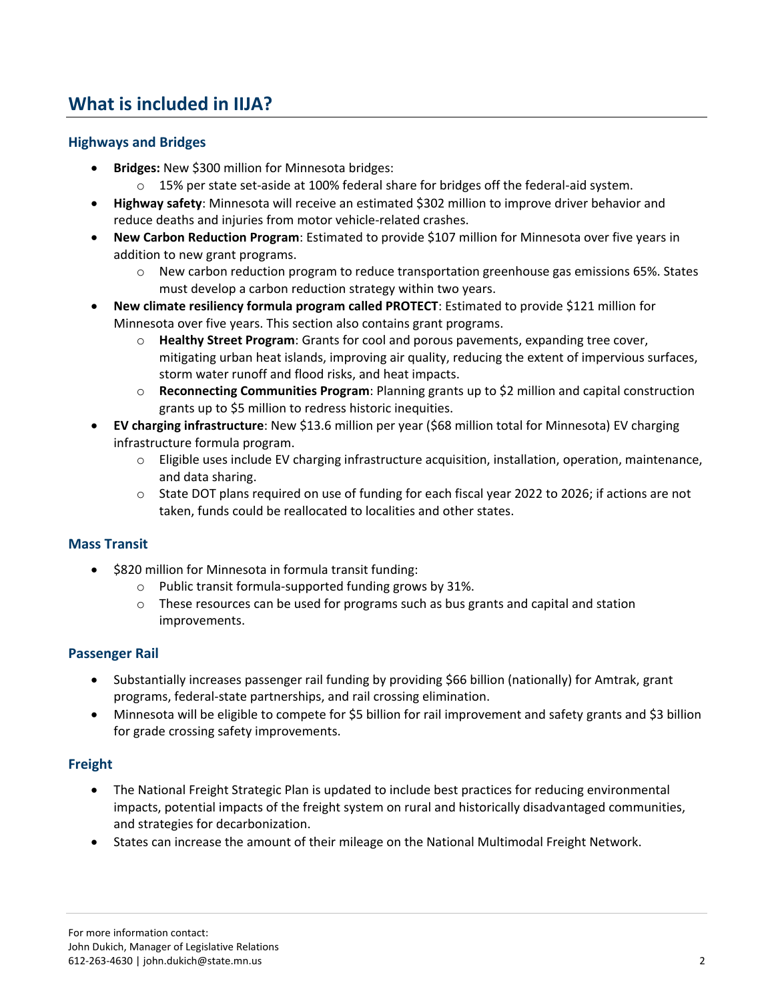## **What is included in IIJA?**

#### **Highways and Bridges**

- **Bridges:** New \$300 million for Minnesota bridges:
	- $\circ$  15% per state set-aside at 100% federal share for bridges off the federal-aid system.
- **Highway safety**: Minnesota will receive an estimated \$302 million to improve driver behavior and reduce deaths and injuries from motor vehicle-related crashes.
- **New Carbon Reduction Program**: Estimated to provide \$107 million for Minnesota over five years in addition to new grant programs.
	- $\circ$  New carbon reduction program to reduce transportation greenhouse gas emissions 65%. States must develop a carbon reduction strategy within two years.
- **New climate resiliency formula program called PROTECT**: Estimated to provide \$121 million for Minnesota over five years. This section also contains grant programs.
	- o **Healthy Street Program**: Grants for cool and porous pavements, expanding tree cover, mitigating urban heat islands, improving air quality, reducing the extent of impervious surfaces, storm water runoff and flood risks, and heat impacts.
	- o **Reconnecting Communities Program**: Planning grants up to \$2 million and capital construction grants up to \$5 million to redress historic inequities.
- **EV charging infrastructure**: New \$13.6 million per year (\$68 million total for Minnesota) EV charging infrastructure formula program.
	- $\circ$  Eligible uses include EV charging infrastructure acquisition, installation, operation, maintenance, and data sharing.
	- o State DOT plans required on use of funding for each fiscal year 2022 to 2026; if actions are not taken, funds could be reallocated to localities and other states.

#### **Mass Transit**

- \$820 million for Minnesota in formula transit funding:
	- o Public transit formula-supported funding grows by 31%.
	- $\circ$  These resources can be used for programs such as bus grants and capital and station improvements.

#### **Passenger Rail**

- Substantially increases passenger rail funding by providing \$66 billion (nationally) for Amtrak, grant programs, federal-state partnerships, and rail crossing elimination.
- Minnesota will be eligible to compete for \$5 billion for rail improvement and safety grants and \$3 billion for grade crossing safety improvements.

#### **Freight**

- The National Freight Strategic Plan is updated to include best practices for reducing environmental impacts, potential impacts of the freight system on rural and historically disadvantaged communities, and strategies for decarbonization.
- States can increase the amount of their mileage on the National Multimodal Freight Network.